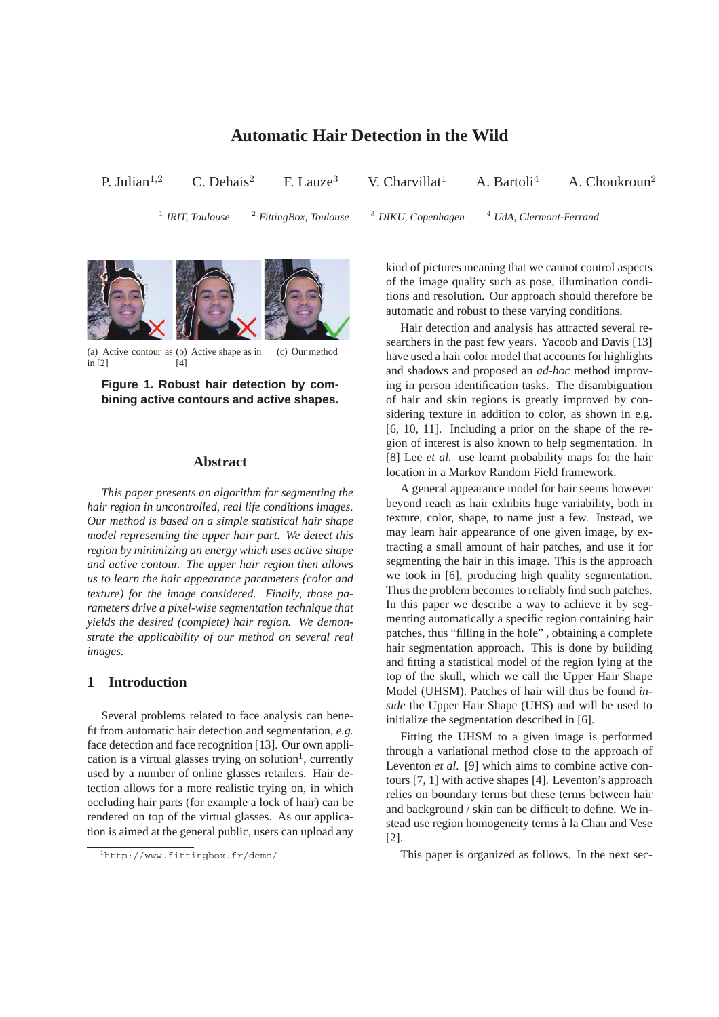# **Automatic Hair Detection in the Wild**

P. Julian<sup>1,2</sup> C. Dehais<sup>2</sup> F. Lauze<sup>3</sup> V. Charvillat<sup>1</sup> A. Bartoli<sup>4</sup> A. Choukroun<sup>2</sup>

 $1$  IRIT, Toulouse

<sup>2</sup> *FittingBox, Toulouse* <sup>3</sup> *DIKU, Copenhagen* <sup>4</sup> *UdA, Clermont-Ferrand* 



(a) Active contour as (b) Active shape as in in [2] [4] (c) Our method

**Figure 1. Robust hair detection by combining active contours and active shapes.**

## **Abstract**

*This paper presents an algorithm for segmenting the hair region in uncontrolled, real life conditions images. Our method is based on a simple statistical hair shape model representing the upper hair part. We detect this region by minimizing an energy which uses active shape and active contour. The upper hair region then allows us to learn the hair appearance parameters (color and texture) for the image considered. Finally, those parameters drive a pixel-wise segmentation technique that yields the desired (complete) hair region. We demonstrate the applicability of our method on several real images.*

## **1 Introduction**

Several problems related to face analysis can benefit from automatic hair detection and segmentation, *e.g.* face detection and face recognition [13]. Our own application is a virtual glasses trying on solution<sup>1</sup>, currently used by a number of online glasses retailers. Hair detection allows for a more realistic trying on, in which occluding hair parts (for example a lock of hair) can be rendered on top of the virtual glasses. As our application is aimed at the general public, users can upload any kind of pictures meaning that we cannot control aspects of the image quality such as pose, illumination conditions and resolution. Our approach should therefore be automatic and robust to these varying conditions.

Hair detection and analysis has attracted several researchers in the past few years. Yacoob and Davis [13] have used a hair color model that accounts for highlights and shadows and proposed an *ad-hoc* method improving in person identification tasks. The disambiguation of hair and skin regions is greatly improved by considering texture in addition to color, as shown in e.g. [6, 10, 11]. Including a prior on the shape of the region of interest is also known to help segmentation. In [8] Lee *et al.* use learnt probability maps for the hair location in a Markov Random Field framework.

A general appearance model for hair seems however beyond reach as hair exhibits huge variability, both in texture, color, shape, to name just a few. Instead, we may learn hair appearance of one given image, by extracting a small amount of hair patches, and use it for segmenting the hair in this image. This is the approach we took in [6], producing high quality segmentation. Thus the problem becomes to reliably find such patches. In this paper we describe a way to achieve it by segmenting automatically a specific region containing hair patches, thus "filling in the hole" , obtaining a complete hair segmentation approach. This is done by building and fitting a statistical model of the region lying at the top of the skull, which we call the Upper Hair Shape Model (UHSM). Patches of hair will thus be found *inside* the Upper Hair Shape (UHS) and will be used to initialize the segmentation described in [6].

Fitting the UHSM to a given image is performed through a variational method close to the approach of Leventon *et al.* [9] which aims to combine active contours [7, 1] with active shapes [4]. Leventon's approach relies on boundary terms but these terms between hair and background / skin can be difficult to define. We instead use region homogeneity terms à la Chan and Vese [2].

This paper is organized as follows. In the next sec-

<sup>1</sup>http://www.fittingbox.fr/demo/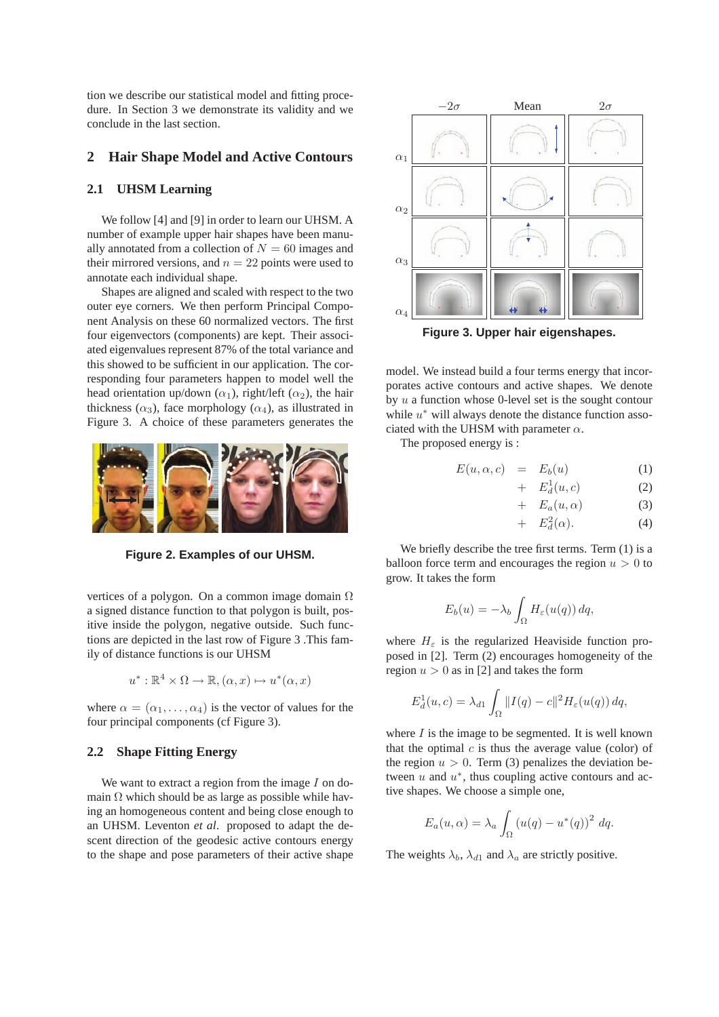tion we describe our statistical model and fitting procedure. In Section 3 we demonstrate its validity and we conclude in the last section.

## **2 Hair Shape Model and Active Contours**

#### **2.1 UHSM Learning**

We follow [4] and [9] in order to learn our UHSM. A number of example upper hair shapes have been manually annotated from a collection of  $N = 60$  images and their mirrored versions, and  $n = 22$  points were used to annotate each individual shape.

Shapes are aligned and scaled with respect to the two outer eye corners. We then perform Principal Component Analysis on these 60 normalized vectors. The first four eigenvectors (components) are kept. Their associated eigenvalues represent 87% of the total variance and this showed to be sufficient in our application. The corresponding four parameters happen to model well the head orientation up/down  $(\alpha_1)$ , right/left  $(\alpha_2)$ , the hair thickness ( $\alpha_3$ ), face morphology ( $\alpha_4$ ), as illustrated in Figure 3. A choice of these parameters generates the



**Figure 2. Examples of our UHSM.**

vertices of a polygon. On a common image domain  $\Omega$ a signed distance function to that polygon is built, positive inside the polygon, negative outside. Such functions are depicted in the last row of Figure 3 .This family of distance functions is our UHSM

$$
u^*: \mathbb{R}^4 \times \Omega \to \mathbb{R}, (\alpha, x) \mapsto u^*(\alpha, x)
$$

where  $\alpha = (\alpha_1, \ldots, \alpha_4)$  is the vector of values for the four principal components (cf Figure 3).

#### **2.2 Shape Fitting Energy**

We want to extract a region from the image  $I$  on domain  $\Omega$  which should be as large as possible while having an homogeneous content and being close enough to an UHSM. Leventon *et al*. proposed to adapt the descent direction of the geodesic active contours energy to the shape and pose parameters of their active shape



**Figure 3. Upper hair eigenshapes.**

model. We instead build a four terms energy that incorporates active contours and active shapes. We denote by  $u$  a function whose 0-level set is the sought contour while  $u^*$  will always denote the distance function associated with the UHSM with parameter  $\alpha$ .

The proposed energy is :

$$
E(u, \alpha, c) = E_b(u) \tag{1}
$$

$$
+ E_d^1(u, c) \tag{2}
$$

- +  $E_a(u,\alpha)$  (3)
- +  $E_d^2(\alpha)$ . (4)

We briefly describe the tree first terms. Term (1) is a balloon force term and encourages the region  $u > 0$  to grow. It takes the form

$$
E_b(u) = -\lambda_b \int_{\Omega} H_{\varepsilon}(u(q)) \, dq,
$$

where  $H<sub>\epsilon</sub>$  is the regularized Heaviside function proposed in [2]. Term (2) encourages homogeneity of the region  $u > 0$  as in [2] and takes the form

$$
E_d^1(u, c) = \lambda_{d1} \int_{\Omega} ||I(q) - c||^2 H_{\varepsilon}(u(q)) dq,
$$

where  $I$  is the image to be segmented. It is well known that the optimal  $c$  is thus the average value (color) of the region  $u > 0$ . Term (3) penalizes the deviation between  $u$  and  $u^*$ , thus coupling active contours and active shapes. We choose a simple one,

$$
E_a(u,\alpha) = \lambda_a \int_{\Omega} \left( u(q) - u^*(q) \right)^2 dq.
$$

The weights  $\lambda_b$ ,  $\lambda_{d1}$  and  $\lambda_a$  are strictly positive.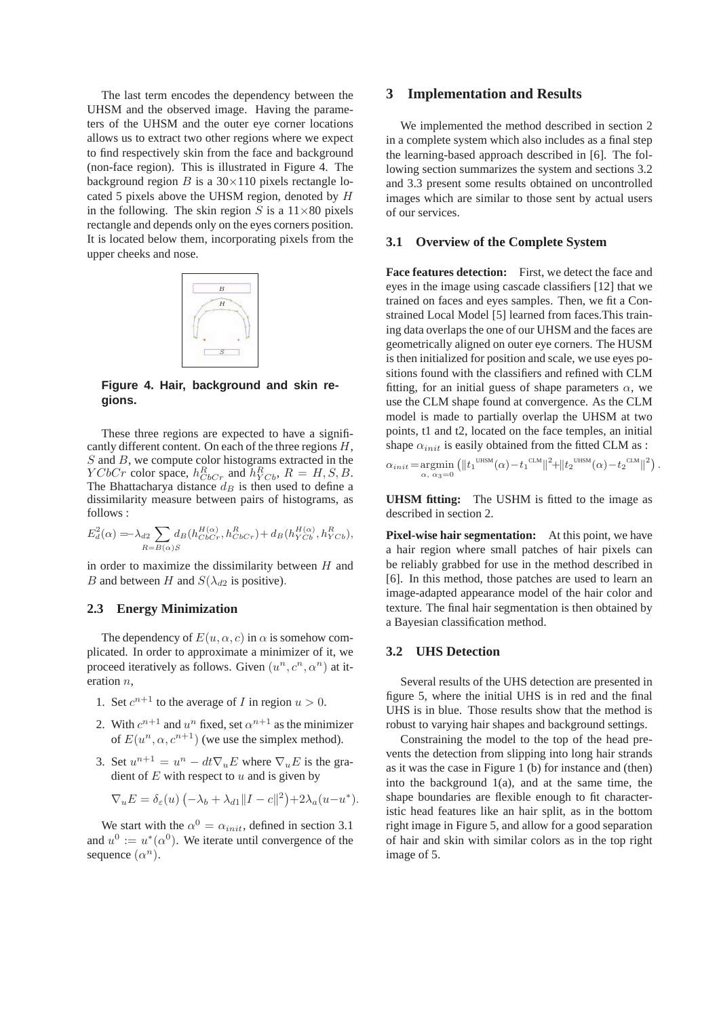The last term encodes the dependency between the UHSM and the observed image. Having the parameters of the UHSM and the outer eye corner locations allows us to extract two other regions where we expect to find respectively skin from the face and background (non-face region). This is illustrated in Figure 4. The background region  $B$  is a  $30 \times 110$  pixels rectangle located 5 pixels above the UHSM region, denoted by H in the following. The skin region S is a  $11\times80$  pixels rectangle and depends only on the eyes corners position. It is located below them, incorporating pixels from the upper cheeks and nose.



**Figure 4. Hair, background and skin regions.**

These three regions are expected to have a significantly different content. On each of the three regions H,  $S$  and  $B$ , we compute color histograms extracted in the  $YCbCr$  color space,  $h_{CbCr}^R$  and  $h_{YCb}^R$ ,  $R = H, S, B$ . The Bhattacharya distance  $d_B$  is then used to define a dissimilarity measure between pairs of histograms, as follows :

$$
E_d^2(\alpha) = \lambda_{d2} \sum_{R=B(\alpha)S} d_B(h_{CbCr}^{H(\alpha)}, h_{CbCr}^R) + d_B(h_{YCb}^{H(\alpha)}, h_{YCb}^R),
$$

in order to maximize the dissimilarity between  $H$  and B and between H and  $S(\lambda_{d2}$  is positive).

#### **2.3 Energy Minimization**

The dependency of  $E(u, \alpha, c)$  in  $\alpha$  is somehow complicated. In order to approximate a minimizer of it, we proceed iteratively as follows. Given  $(u^n, c^n, \alpha^n)$  at iteration n,

- 1. Set  $c^{n+1}$  to the average of *I* in region  $u > 0$ .
- 2. With  $c^{n+1}$  and  $u^n$  fixed, set  $\alpha^{n+1}$  as the minimizer of  $E(u^n, \alpha, c^{n+1})$  (we use the simplex method).
- 3. Set  $u^{n+1} = u^n dt \nabla_u E$  where  $\nabla_u E$  is the gradient of  $E$  with respect to  $u$  and is given by

$$
\nabla_u E = \delta_{\varepsilon}(u) \left( -\lambda_b + \lambda_{d1} \|I - c\|^2 \right) + 2\lambda_a (u - u^*).
$$

We start with the  $\alpha^0 = \alpha_{init}$ , defined in section 3.1 and  $u^0 := u^*(\alpha^0)$ . We iterate until convergence of the sequence  $(\alpha^n)$ .

## **3 Implementation and Results**

We implemented the method described in section 2 in a complete system which also includes as a final step the learning-based approach described in [6]. The following section summarizes the system and sections 3.2 and 3.3 present some results obtained on uncontrolled images which are similar to those sent by actual users of our services.

#### **3.1 Overview of the Complete System**

**Face features detection:** First, we detect the face and eyes in the image using cascade classifiers [12] that we trained on faces and eyes samples. Then, we fit a Constrained Local Model [5] learned from faces.This training data overlaps the one of our UHSM and the faces are geometrically aligned on outer eye corners. The HUSM is then initialized for position and scale, we use eyes positions found with the classifiers and refined with CLM fitting, for an initial guess of shape parameters  $\alpha$ , we use the CLM shape found at convergence. As the CLM model is made to partially overlap the UHSM at two points, t1 and t2, located on the face temples, an initial shape  $\alpha_{init}$  is easily obtained from the fitted CLM as :

$$
\alpha_{init} = \underset{\alpha, \ \alpha_3 = 0}{\text{argmin}} \left( \| t_1^{\text{ UHSM}}(\alpha) - t_1^{\text{ CLM}} \|^2 + \| t_2^{\text{ UHSM}}(\alpha) - t_2^{\text{ CLM}} \|^2 \right).
$$

**UHSM fitting:** The USHM is fitted to the image as described in section 2.

**Pixel-wise hair segmentation:** At this point, we have a hair region where small patches of hair pixels can be reliably grabbed for use in the method described in [6]. In this method, those patches are used to learn an image-adapted appearance model of the hair color and texture. The final hair segmentation is then obtained by a Bayesian classification method.

#### **3.2 UHS Detection**

Several results of the UHS detection are presented in figure 5, where the initial UHS is in red and the final UHS is in blue. Those results show that the method is robust to varying hair shapes and background settings.

Constraining the model to the top of the head prevents the detection from slipping into long hair strands as it was the case in Figure 1 (b) for instance and (then) into the background  $1(a)$ , and at the same time, the shape boundaries are flexible enough to fit characteristic head features like an hair split, as in the bottom right image in Figure 5, and allow for a good separation of hair and skin with similar colors as in the top right image of 5.